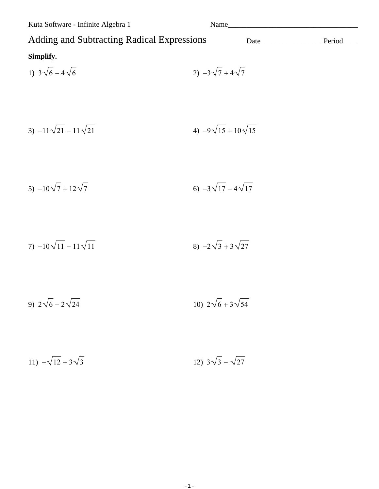Kuta Software - Infinite Algebra 1

| Adding and Subtracting Radical Expressions |                                | Period____ |
|--------------------------------------------|--------------------------------|------------|
| Simplify.<br>1) $3\sqrt{6} - 4\sqrt{6}$    | 2) $-3\sqrt{7} + 4\sqrt{7}$    |            |
| 3) $-11\sqrt{21} - 11\sqrt{21}$            | 4) $-9\sqrt{15} + 10\sqrt{15}$ |            |
| 5) $-10\sqrt{7} + 12\sqrt{7}$              | 6) $-3\sqrt{17}-4\sqrt{17}$    |            |
| 7) $-10\sqrt{11} - 11\sqrt{11}$            | 8) $-2\sqrt{3}+3\sqrt{27}$     |            |
| 9) $2\sqrt{6} - 2\sqrt{24}$                | 10) $2\sqrt{6} + 3\sqrt{54}$   |            |
|                                            |                                |            |

11)  $-\sqrt{12} + 3\sqrt{3}$ 12)  $3\sqrt{3} - \sqrt{27}$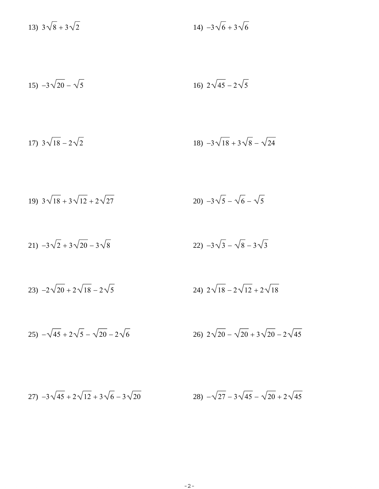13) 
$$
3\sqrt{8} + 3\sqrt{2}
$$
 14)  $-3\sqrt{6} + 3\sqrt{6}$ 

$$
15) -3\sqrt{20} - \sqrt{5}
$$
  $16) 2\sqrt{45} - 2\sqrt{5}$ 

17) 
$$
3\sqrt{18} - 2\sqrt{2}
$$
  
18)  $-3\sqrt{18} + 3\sqrt{8} - \sqrt{24}$ 

19) 
$$
3\sqrt{18} + 3\sqrt{12} + 2\sqrt{27}
$$
  
20)  $-3\sqrt{5} - \sqrt{6} - \sqrt{5}$ 

$$
21) -3\sqrt{2} + 3\sqrt{20} - 3\sqrt{8}
$$
  

$$
22) -3\sqrt{3} - \sqrt{8} - 3\sqrt{3}
$$

$$
23) -2\sqrt{20} + 2\sqrt{18} - 2\sqrt{5}
$$
  

$$
24) 2\sqrt{18} - 2\sqrt{12} + 2\sqrt{18}
$$

$$
25) -\sqrt{45} + 2\sqrt{5} - \sqrt{20} - 2\sqrt{6}
$$
  

$$
26) 2\sqrt{20} - \sqrt{20} + 3\sqrt{20} - 2\sqrt{45}
$$

27) 
$$
-3\sqrt{45} + 2\sqrt{12} + 3\sqrt{6} - 3\sqrt{20}
$$
  
28)  $-\sqrt{27} - 3\sqrt{45} - \sqrt{20} + 2\sqrt{45}$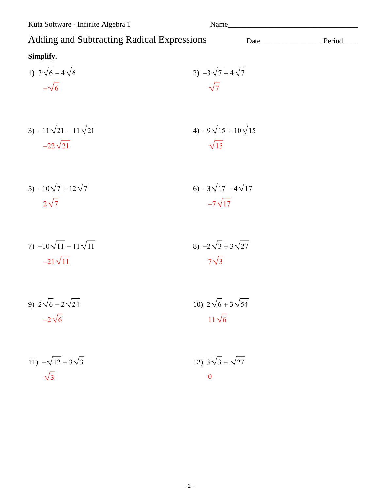Kuta Software - Infinite Algebra 1

Name\_

| <b>Adding and Subtracting Radical Expressions</b><br>Period_<br>Date |                                |  |  |
|----------------------------------------------------------------------|--------------------------------|--|--|
| Simplify.                                                            |                                |  |  |
| 1) $3\sqrt{6}-4\sqrt{6}$                                             | 2) $-3\sqrt{7}+4\sqrt{7}$      |  |  |
| $-\sqrt{6}$                                                          | $\sqrt{7}$                     |  |  |
| 3) $-11\sqrt{21} - 11\sqrt{21}$                                      | 4) $-9\sqrt{15} + 10\sqrt{15}$ |  |  |
| $-22\sqrt{21}$                                                       | $\sqrt{15}$                    |  |  |
| 5) $-10\sqrt{7} + 12\sqrt{7}$                                        | 6) $-3\sqrt{17}-4\sqrt{17}$    |  |  |
| $2\sqrt{7}$                                                          | $-7\sqrt{17}$                  |  |  |
| 7) $-10\sqrt{11} - 11\sqrt{11}$                                      | 8) $-2\sqrt{3} + 3\sqrt{27}$   |  |  |
| $-21\sqrt{11}$                                                       | $7\sqrt{3}$                    |  |  |
| 9) $2\sqrt{6} - 2\sqrt{24}$                                          | 10) $2\sqrt{6} + 3\sqrt{54}$   |  |  |
| $-2\sqrt{6}$                                                         | $11\sqrt{6}$                   |  |  |
| 11) $-\sqrt{12} + 3\sqrt{3}$                                         | 12) $3\sqrt{3} - \sqrt{27}$    |  |  |
| $\sqrt{3}$                                                           | $\overline{0}$                 |  |  |
|                                                                      |                                |  |  |
|                                                                      |                                |  |  |